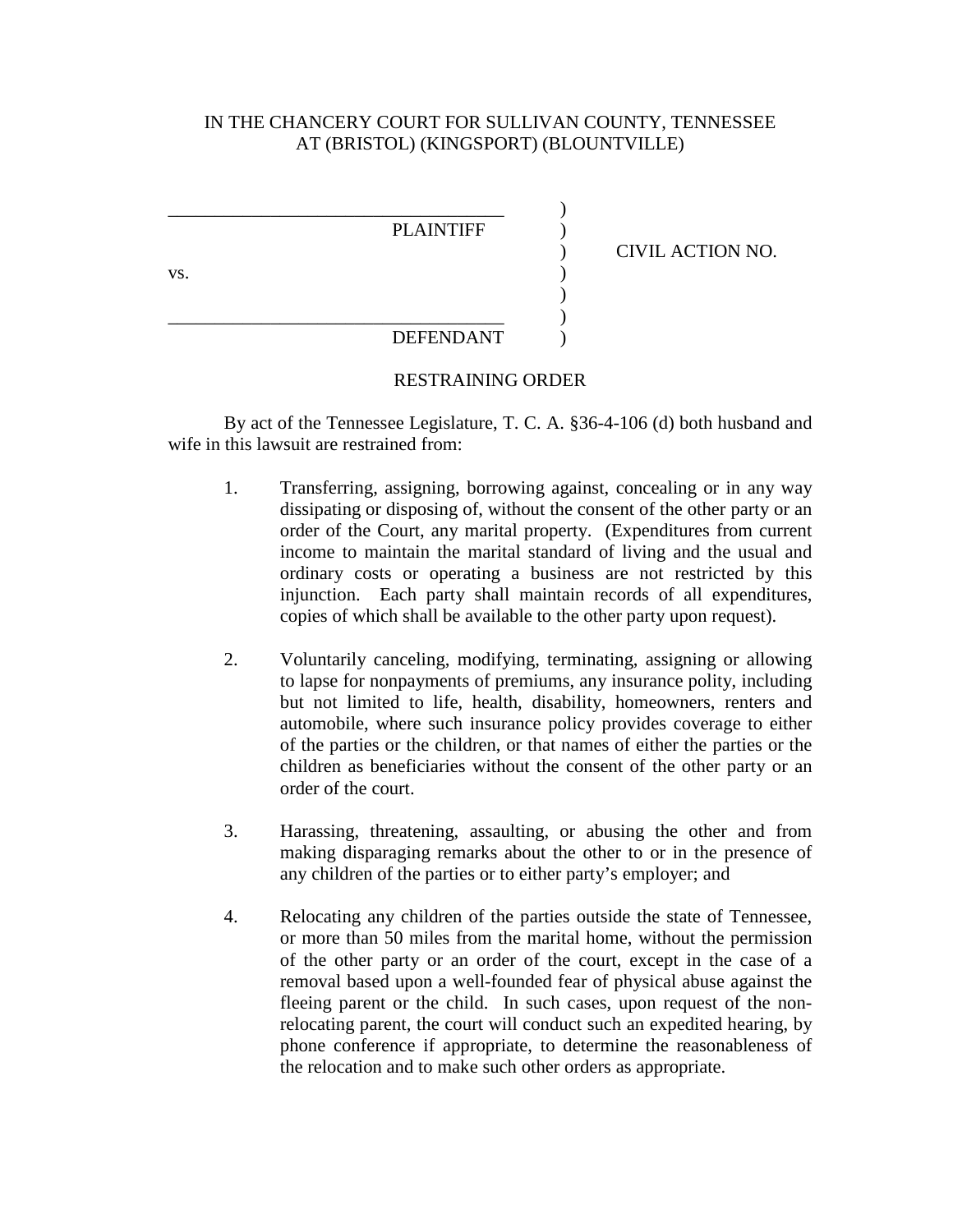## IN THE CHANCERY COURT FOR SULLIVAN COUNTY, TENNESSEE AT (BRISTOL) (KINGSPORT) (BLOUNTVILLE)



## RESTRAINING ORDER

By act of the Tennessee Legislature, T. C. A. §36-4-106 (d) both husband and wife in this lawsuit are restrained from:

- 1. Transferring, assigning, borrowing against, concealing or in any way dissipating or disposing of, without the consent of the other party or an order of the Court, any marital property. (Expenditures from current income to maintain the marital standard of living and the usual and ordinary costs or operating a business are not restricted by this injunction. Each party shall maintain records of all expenditures, copies of which shall be available to the other party upon request).
- 2. Voluntarily canceling, modifying, terminating, assigning or allowing to lapse for nonpayments of premiums, any insurance polity, including but not limited to life, health, disability, homeowners, renters and automobile, where such insurance policy provides coverage to either of the parties or the children, or that names of either the parties or the children as beneficiaries without the consent of the other party or an order of the court.
- 3. Harassing, threatening, assaulting, or abusing the other and from making disparaging remarks about the other to or in the presence of any children of the parties or to either party's employer; and
- 4. Relocating any children of the parties outside the state of Tennessee, or more than 50 miles from the marital home, without the permission of the other party or an order of the court, except in the case of a removal based upon a well-founded fear of physical abuse against the fleeing parent or the child. In such cases, upon request of the nonrelocating parent, the court will conduct such an expedited hearing, by phone conference if appropriate, to determine the reasonableness of the relocation and to make such other orders as appropriate.